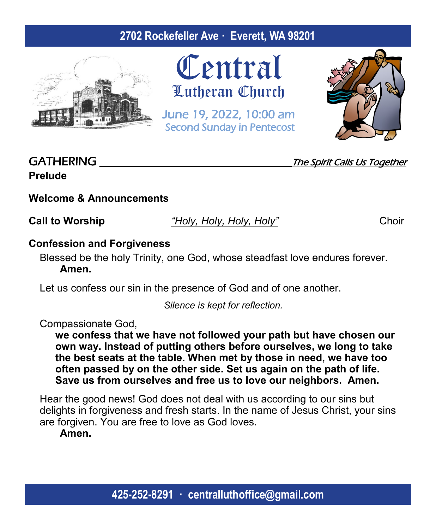# **2702 Rockefeller Ave · Everett, WA 98201**



**Central** Lutheran Church

June 19, 2022, 10:00 am Second Sunday in Pentecost



# **Prelude**

GATHERING GATHERING

# **Welcome & Announcements**

**Call to Worship** *"Holy, Holy, Holy, Holy"* Choir

### **Confession and Forgiveness**

Blessed be the holy Trinity, one God, whose steadfast love endures forever. **Amen.**

Let us confess our sin in the presence of God and of one another.

*Silence is kept for reflection.*

Compassionate God,

**we confess that we have not followed your path but have chosen our own way. Instead of putting others before ourselves, we long to take the best seats at the table. When met by those in need, we have too often passed by on the other side. Set us again on the path of life. Save us from ourselves and free us to love our neighbors. Amen.**

Hear the good news! God does not deal with us according to our sins but delights in forgiveness and fresh starts. In the name of Jesus Christ, your sins are forgiven. You are free to love as God loves.

**Amen.**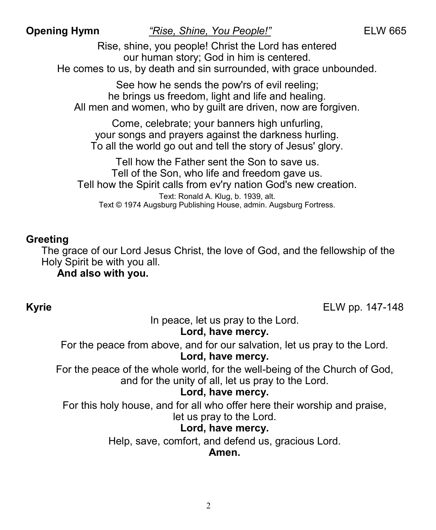**Opening Hymn** *"Rise, Shine, You People!"*ELW 665

Rise, shine, you people! Christ the Lord has entered our human story; God in him is centered. He comes to us, by death and sin surrounded, with grace unbounded.

See how he sends the pow'rs of evil reeling; he brings us freedom, light and life and healing. All men and women, who by guilt are driven, now are forgiven.

Come, celebrate; your banners high unfurling, your songs and prayers against the darkness hurling. To all the world go out and tell the story of Jesus' glory.

Tell how the Father sent the Son to save us. Tell of the Son, who life and freedom gave us. Tell how the Spirit calls from ev'ry nation God's new creation. Text: Ronald A. Klug, b. 1939, alt. Text © 1974 Augsburg Publishing House, admin. Augsburg Fortress.

### **Greeting**

The grace of our Lord Jesus Christ, the love of God, and the fellowship of the Holy Spirit be with you all.

**And also with you.**

**Kyrie** ELW pp. 147-148

In peace, let us pray to the Lord. **Lord, have mercy.**

For the peace from above, and for our salvation, let us pray to the Lord. **Lord, have mercy.**

For the peace of the whole world, for the well-being of the Church of God, and for the unity of all, let us pray to the Lord.

### **Lord, have mercy.**

For this holy house, and for all who offer here their worship and praise, let us pray to the Lord.

# **Lord, have mercy.**

Help, save, comfort, and defend us, gracious Lord.

### **Amen.**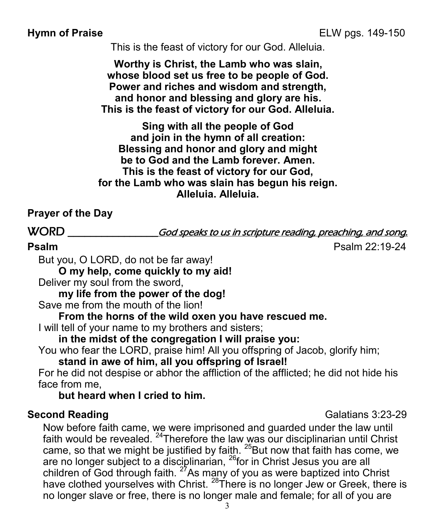This is the feast of victory for our God. Alleluia.

**Worthy is Christ, the Lamb who was slain, whose blood set us free to be people of God. Power and riches and wisdom and strength, and honor and blessing and glory are his. This is the feast of victory for our God. Alleluia.**

**Sing with all the people of God and join in the hymn of all creation: Blessing and honor and glory and might be to God and the Lamb forever. Amen. This is the feast of victory for our God, for the Lamb who was slain has begun his reign. Alleluia. Alleluia.**

# **Prayer of the Day**

WORD \_\_\_\_\_\_\_\_\_\_\_\_\_\_\_\_\_\_\_\_God speaks to us in scripture reading, preaching, and song.

**Psalm** Psalm 22:19-24

But you, O LORD, do not be far away!

**O my help, come quickly to my aid!**

Deliver my soul from the sword,

**my life from the power of the dog!**

Save me from the mouth of the lion!

**From the horns of the wild oxen you have rescued me.**

I will tell of your name to my brothers and sisters;

**in the midst of the congregation I will praise you:**

You who fear the LORD, praise him! All you offspring of Jacob, glorify him;

**stand in awe of him, all you offspring of Israel!**

For he did not despise or abhor the affliction of the afflicted; he did not hide his face from me,

**but heard when I cried to him.**

### **Second Reading**  Galatians 3:23-29

Now before faith came, we were imprisoned and guarded under the law until faith would be revealed. <sup>24</sup>Therefore the law was our disciplinarian until Christ came, so that we might be justified by faith.  $25$ But now that faith has come, we are no longer subject to a disciplinarian, <sup>26</sup>for in Christ Jesus you are all children of God through faith.  $27$ As many of you as were baptized into Christ have clothed yourselves with Christ.  $28$ There is no longer Jew or Greek, there is no longer slave or free, there is no longer male and female; for all of you are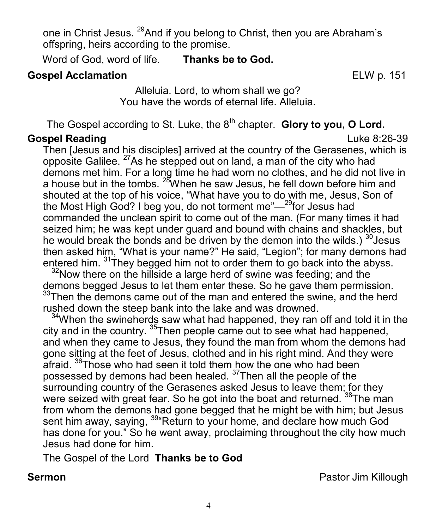one in Christ Jesus. <sup>29</sup>And if you belong to Christ, then you are Abraham's offspring, heirs according to the promise.

Word of God, word of life. **Thanks be to God.**

### **Gospel Acclamation** ELW p. 151

Alleluia. Lord, to whom shall we go? You have the words of eternal life. Alleluia.

The Gospel according to St. Luke, the 8<sup>th</sup> chapter. **Glory to you, O Lord.** 

# **Gospel Reading** Luke 8:26-39

Then [Jesus and his disciples] arrived at the country of the Gerasenes, which is opposite Galilee.  $27$ As he stepped out on land, a man of the city who had demons met him. For a long time he had worn no clothes, and he did not live in a house but in the tombs. <sup>28</sup>When he saw Jesus, he fell down before him and shouted at the top of his voice, "What have you to do with me, Jesus, Son of the Most High God? I beg you, do not torment me"—<sup>29</sup>for Jesus had commanded the unclean spirit to come out of the man. (For many times it had seized him; he was kept under guard and bound with chains and shackles, but he would break the bonds and be driven by the demon into the wilds.)  $30$  Jesus then asked him, "What is your name?" He said, "Legion"; for many demons had entered him. <sup>31</sup>They begged him not to order them to go back into the abyss.

 $32$ Now there on the hillside a large herd of swine was feeding; and the demons begged Jesus to let them enter these. So he gave them permission.  $33$ Then the demons came out of the man and entered the swine, and the herd rushed down the steep bank into the lake and was drowned.

<sup>34</sup>When the swineherds saw what had happened, they ran off and told it in the city and in the country.  $35$ Then people came out to see what had happened, and when they came to Jesus, they found the man from whom the demons had gone sitting at the feet of Jesus, clothed and in his right mind. And they were afraid. <sup>36</sup>Those who had seen it told them how the one who had been possessed by demons had been healed. <sup>37</sup>Then all the people of the surrounding country of the Gerasenes asked Jesus to leave them; for they were seized with great fear. So he got into the boat and returned. <sup>38</sup>The man from whom the demons had gone begged that he might be with him; but Jesus sent him away, saying, <sup>39</sup>"Return to your home, and declare how much God has done for you." So he went away, proclaiming throughout the city how much Jesus had done for him.

The Gospel of the Lord **Thanks be to God**

**Sermon Pastor Jim Killough**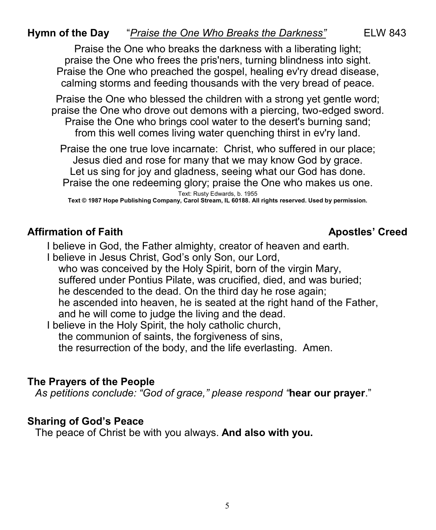# **Hymn of the Day** "*Praise the One Who Breaks the Darkness"* ELW 843

Praise the One who breaks the darkness with a liberating light; praise the One who frees the pris'ners, turning blindness into sight. Praise the One who preached the gospel, healing ev'ry dread disease, calming storms and feeding thousands with the very bread of peace.

Praise the One who blessed the children with a strong yet gentle word; praise the One who drove out demons with a piercing, two-edged sword. Praise the One who brings cool water to the desert's burning sand; from this well comes living water quenching thirst in ev'ry land.

Praise the one true love incarnate: Christ, who suffered in our place; Jesus died and rose for many that we may know God by grace. Let us sing for joy and gladness, seeing what our God has done. Praise the one redeeming glory; praise the One who makes us one.

Text: Rusty Edwards, b. 1955 **Text © 1987 Hope Publishing Company, Carol Stream, IL 60188. All rights reserved. Used by permission.**

#### Affirmation of Faith Apostles' Creed

I believe in God, the Father almighty, creator of heaven and earth.

I believe in Jesus Christ, God's only Son, our Lord, who was conceived by the Holy Spirit, born of the virgin Mary, suffered under Pontius Pilate, was crucified, died, and was buried; he descended to the dead. On the third day he rose again; he ascended into heaven, he is seated at the right hand of the Father, and he will come to judge the living and the dead.

I believe in the Holy Spirit, the holy catholic church, the communion of saints, the forgiveness of sins, the resurrection of the body, and the life everlasting. Amen.

#### **The Prayers of the People**

*As petitions conclude: "God of grace," please respond "***hear our prayer**."

#### **Sharing of God's Peace**

The peace of Christ be with you always. **And also with you.**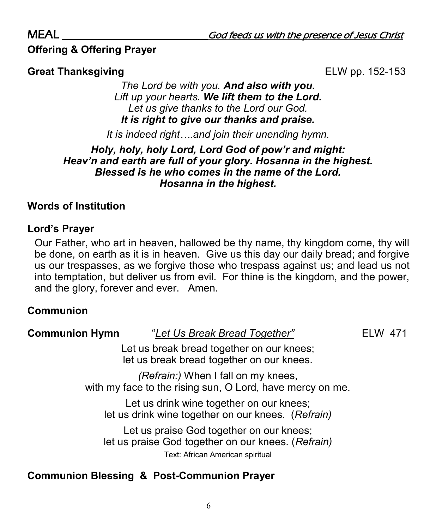# **Offering & Offering Prayer**

### **Great Thanksgiving**  ELW pp. 152-153

*The Lord be with you. And also with you. Lift up your hearts. We lift them to the Lord. Let us give thanks to the Lord our God. It is right to give our thanks and praise.*

*It is indeed right….and join their unending hymn.*

#### *Holy, holy, holy Lord, Lord God of pow'r and might: Heav'n and earth are full of your glory. Hosanna in the highest. Blessed is he who comes in the name of the Lord. Hosanna in the highest.*

### **Words of Institution**

### **Lord's Prayer**

Our Father, who art in heaven, hallowed be thy name, thy kingdom come, thy will be done, on earth as it is in heaven. Give us this day our daily bread; and forgive us our trespasses, as we forgive those who trespass against us; and lead us not into temptation, but deliver us from evil. For thine is the kingdom, and the power, and the glory, forever and ever. Amen.

### **Communion**

**Communion Hymn** "*Let Us Break Bread Together"* ELW 471

Let us break bread together on our knees; let us break bread together on our knees.

*(Refrain:)* When I fall on my knees, with my face to the rising sun, O Lord, have mercy on me.

Let us drink wine together on our knees; let us drink wine together on our knees. (*Refrain)*

Let us praise God together on our knees; let us praise God together on our knees. (*Refrain)* Text: African American spiritual

# **Communion Blessing & Post-Communion Prayer**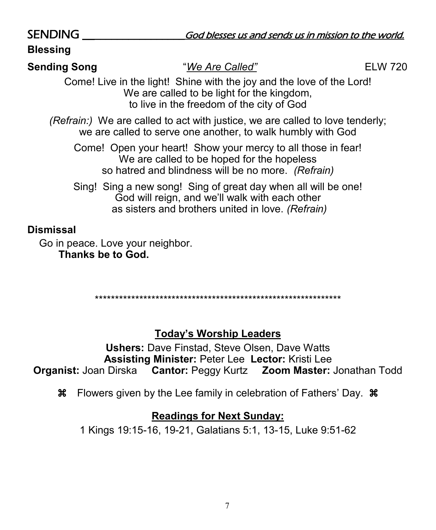| <b>SENDING</b>                                                                                                                                                   | God blesses us and sends us in mission to the world.                                                                                                                  |                |
|------------------------------------------------------------------------------------------------------------------------------------------------------------------|-----------------------------------------------------------------------------------------------------------------------------------------------------------------------|----------------|
| <b>Blessing</b>                                                                                                                                                  |                                                                                                                                                                       |                |
| <b>Sending Song</b>                                                                                                                                              | "We Are Called"                                                                                                                                                       | <b>ELW 720</b> |
|                                                                                                                                                                  | Come! Live in the light! Shine with the joy and the love of the Lord!<br>We are called to be light for the kingdom,<br>to live in the freedom of the city of God      |                |
| (Refrain:) We are called to act with justice, we are called to love tenderly;<br>we are called to serve one another, to walk humbly with God                     |                                                                                                                                                                       |                |
| Come! Open your heart! Show your mercy to all those in fear!<br>We are called to be hoped for the hopeless<br>so hatred and blindness will be no more. (Refrain) |                                                                                                                                                                       |                |
|                                                                                                                                                                  | Sing! Sing a new song! Sing of great day when all will be one!<br>God will reign, and we'll walk with each other<br>as sisters and brothers united in love. (Refrain) |                |
| <b>Dismissal</b><br>Go in peace. Love your neighbor.<br><b>Thanks be to God.</b>                                                                                 |                                                                                                                                                                       |                |

\*\*\*\*\*\*\*\*\*\*\*\*\*\*\*\*\*\*\*\*\*\*\*\*\*\*\*\*\*\*\*\*\*\*\*\*\*\*\*\*\*\*\*\*\*\*\*\*\*\*\*\*\*\*\*\*\*\*\*\*\*

# **Today's Worship Leaders**

**Ushers:** Dave Finstad, Steve Olsen, Dave Watts **Assisting Minister:** Peter Lee **Lector:** Kristi Lee **Organist:** Joan Dirska **Cantor:** Peggy Kurtz **Zoom Master:** Jonathan Todd

Flowers given by the Lee family in celebration of Fathers' Day.

# **Readings for Next Sunday:**

1 Kings 19:15-16, 19-21, Galatians 5:1, 13-15, Luke 9:51-62